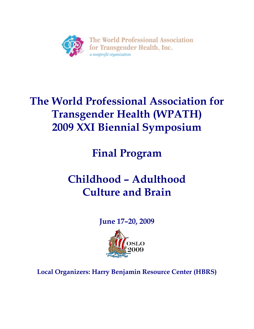

# **The World Professional Association for Transgender Health (WPATH) 2009 XXI Biennial Symposium**

**Final Program** 

# **Childhood – Adulthood Culture and Brain**

**June 17–20, 2009**



**Local Organizers: Harry Benjamin Resource Center (HBRS)**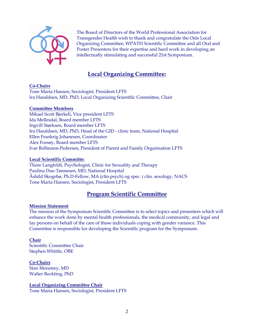

The Board of Directors of the World Professional Association for Transgender Health wish to thank and congratulate the Oslo Local Organizing Committee, WPATH Scientific Committee and all Oral and Poster Presenters for their expertise and hard work in developing an intellectually stimulating and successful 21st Symposium.

## **Local Organizing Committee:**

#### **Co-Chairs**

Tone Maria Hansen, Sociologist, President LFTS Ira Haraldsen, MD, PhD, Local Organizing Scientific Committee, Chair

#### **Committee Members**

Mikael Scott Bjerkeli, Vice president LFTS Ida Mellesdal, Board member LFTS Ingvill Størksen, Board member LFTS Ira Haraldsen, MD, PhD, Head of the GID - clinic team, National Hospital Ellen Frankrig Johanesen, Coordinator Alex Fossøy, Board member LFTS Ivar Bollmann-Pedersen, President of Parent and Family Organisation LFTS

#### **Local Scientific Committe:**

Thore Langfeldt, Psychologist, Clinic for Sexuality and Therapy Paulina Due-Tønnesen, MD, National Hospital Åshild Skogebø, Ph.D-Fellow, MA (clin.psych) og spec. i clin. sexology, NACS Tone Maria Hansen, Sociologist, President LFTS

## **Program Scientific Committee**

#### **Mission Statement**

The mission of the Symposium Scientific Committee is to select topics and presenters which will enhance the work done by mental health professionals, the medical community, and legal and lay persons on behalf of the care of those individuals coping with gender variance. This Committee is responsible for developing the Scientific program for the Symposium.

#### **Chair**

Scientific Committee Chair Stephen Whittle, OBE

#### **Co-Chairs**

Stan Monstrey, MD Walter Bockting, PhD

## **Local Organizing Committee Chair**

Tone Maria Hansen, Sociologist, President LFTS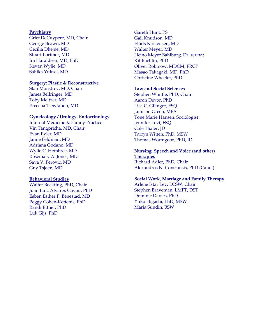#### **Psychiatry**

Griet DeCuypere, MD, Chair George Brown, MD Cecilia Dhejne, MD Stuart Lorimer, MD Ira Haraldsen, MD, PhD Kevan Wylie, MD Sahika Yuksel, MD

#### **Surgery: Plastic & Reconstructive**

Stan Monstrey, MD, Chair James Bellringer, MD Toby Meltzer, MD Preecha Tiewtanon, MD

#### **Gynelcology / Urology, Endocrinology**

Internal Medicine & Family Practice Vin Tangpricha, MD**,** Chair Evan Eyler, MD Jamie Feldman, MD Adriana Godano, MD Wylie C. Hembree, MD Rosemary A. Jones, MD Sava V. Perovic, MD Guy Tsjoen, MD

#### **Behavioral Studies**

Walter Bockting, PhD, Chair Juan Luiz Alvarex Gayou, PhD Esben Esther P. Benestad, MD Peggy Cohen-Kettenis, PhD Randi Ettner, PhD Luk Gijs, PhD

Gareth Hunt, PS Gail Knudson, MD Ellids Kristensen, MD Walter Meyer, MD Heino Meyer Bahlburg, Dr. rer.nat Kit Rachlin, PhD Oliver Robinow, MDCM, FRCP Masao Takagaki, MD, PhD Christine Wheeler, PhD

#### **Law and Social Sciences**

Stephen Whittle, PhD, Chair Aaron Devor, PhD Lisa C. Gilinger, ESQ Jamison Green, MFA Tone Marie Hansen, Sociologist Jennifer Levi, ESQ Cole Thaler, JD Tarryn Witten, PhD, MSW Thomas Wormgoor, PhD, JD

## **Nursing, Speech and Voice (and other)**

**Therapies** Richard Adler, PhD, Chair Alexandros N. Constansis, PhD (Cand.)

#### **Social Work, Marriage and Family Therapy**

Arlene Istar Lev, LCSW, Chair Stephen Braveman, LMFT, DST Dominic Davies, PhD Yuko Higashi, PhD, MSW Maria Sundin, BSW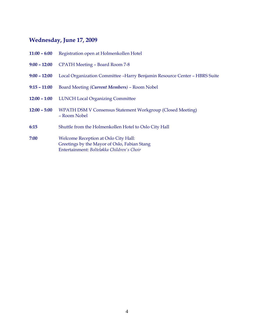# **Wednesday, June 17, 2009**

|                | <b>11:00 – 6:00</b> Registration open at Holmenkollen Hotel                                                                        |
|----------------|------------------------------------------------------------------------------------------------------------------------------------|
|                | 9:00 - 12:00 CPATH Meeting - Board Room 7-8                                                                                        |
| $9:00 - 12:00$ | Local Organization Committee -Harry Benjamin Resource Center - HBRS Suite                                                          |
| $9:15 - 11:00$ | Board Meeting (Current Members) - Room Nobel                                                                                       |
|                | 12:00 - 1:00 LUNCH Local Organizing Committee                                                                                      |
|                | 12:00 - 5:00 WPATH DSM V Consensus Statement Workgroup (Closed Meeting)<br>- Room Nobel                                            |
| 6:15           | Shuttle from the Holmenkollen Hotel to Oslo City Hall                                                                              |
| 7:00           | Welcome Reception at Oslo City Hall:<br>Greetings by the Mayor of Oslo, Fabian Stang<br>Entertainment: Bolteløkka Children's Choir |
|                |                                                                                                                                    |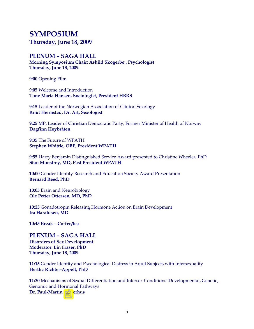# **SYMPOSIUM Thursday, June 18, 2009**

## **PLENUM – SAGA HALL**

**Morning Symposium Chair: Åshild Skogerbø , Psychologist Thursday, June 18, 2009**

**9:00** Opening Film

**9:05** Welcome and Introduction **Tone Maria Hansen, Sociologist, President HBRS**

**9:15** Leader of the Norwegian Association of Clinical Sexology **Knut Hermstad, Dr. Art, Sexologist**

**9:25** MP, Leader of Christian Democratic Party, Former Minister of Health of Norway **Dagfinn Høybråten** 

**9:35** The Future of WPATH **Stephen Whittle, OBE, President WPATH** 

**9:55** Harry Benjamin Distinguished Service Award presented to Christine Wheeler, PhD **Stan Monstrey, MD, Past President WPATH** 

**10:00** Gender Identity Research and Education Society Award Presentation **Bernard Reed, PhD**

**10:05** Brain and Neurobiology **Ole Petter Ottersen, MD, PhD** 

**10:25** Gonadotropin Releasing Hormone Action on Brain Development **Ira Haraldsen, MD** 

**10:45 Break – Coffee/tea**

## **PLENUM – SAGA HALL**

**Disorders of Sex Development Moderator: Lin Fraser, PhD Thursday, June 18, 2009**

**11:15** Gender Identity and Psychological Distress in Adult Subjects with Intersexuality **Hertha Richter-Appelt, PhD**

**11:30** Mechanisms of Sexual Differentiation and Intersex Conditions: Developmental, Genetic, Genomic and Hormonal Pathways **Dr. Paul-Martin Holterhus**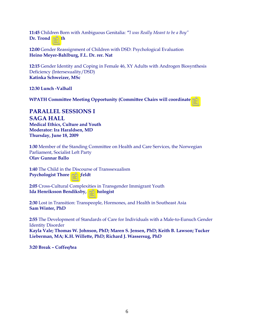**11:45** Children Born with Ambiguous Genitalia: *"I was Really Meant to be a Boy"* **Dr. Trond Diseth**

**12:00** Gender Reassignment of Children with DSD: Psychological Evaluation **Heino Meyer-Bahlburg, F.L. Dr. rer. Nat** 

**12:15** Gender Identity and Coping in Female 46, XY Adults with Androgen Biosynthesis Deficiency (Intersexuality/DSD) **Katinka Schweizer, MSc** 

**12:30 Lunch -Valhall** 

**WPATH Committee Meeting Opportunity (Committee Chairs will coordinate)** 

**PARALLEL SESSIONS I SAGA HALL Medical Ethics, Culture and Youth Moderator: Ira Haraldsen, MD Thursday, June 18, 2009**

**1:30** Member of the Standing Committee on Health and Care Services, the Norwegian Parliament, Socialist Left Party **Olav Gunnar Ballo**

**1:40** The Child in the Discourse of Transsexualism **Psychologist Thore Langfeldt**

**2:05** Cross-Cultural Complexities in Transgender Immigrant Youth **Ida Henriksson Bendiksby, Psychologist**

**2:30** Lost in Transition: Transpeople, Hormones, and Health in Southeast Asia **Sam Winter, PhD** 

**2:55** The Development of Standards of Care for Individuals with a Male-to-Eunuch Gender Identity Disorder **Kayla Vale; Thomas W. Johnson, PhD; Maren S. Jensen, PhD; Keith B. Lawson; Tucker Lieberman, MA; K.H. Willette, PhD; Richard J. Wassersug, PhD** 

**3:20 Break – Coffee/tea**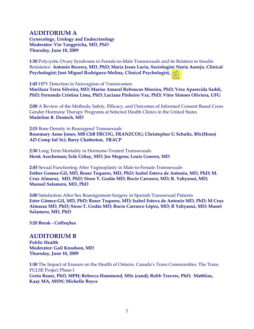## **AUDITORIUM A**

**Gynecology, Urology and Endocrinology Moderator: Vin Tangpricha, MD, PhD Thursday, June 18, 2009**

**1:30** Polycystic Ovary Syndrome in Female-to-Male Transsexuals and its Relation to Insulin Resistance **Antonio Becerra, MD, PhD; Maria Jesus Lucio, Sociologist; Nuria Asenjo, Clinical Psychologist; José Miguel Rodríguez-Molina, Clinical Psychologist, PhD**

**1:45** HPV Detection in Neovaginas of Transwomen **Mariluza Terra Silveira, MD; Marise Amaral Reboucas Moreira, PhD; Vera Aparecida Saddi, PhD; Fernanda Cristina Lima, PhD; Luciana Pinheiro Vaz, PhD; Vitor Simoes Oliviera, UFG** 

**2:00** A Review of the Methods, Safety, Efficacy, and Outcomes of Informed Consent Based Cross Gender Hormone Therapy Programs at Selected Health Clinics in the United States **Madeline B. Deutsch, MD** 

**2:15** Bone Density in Reassigned Transsexuals **Rosemary Anne Jones, MB ChB FRCOG, FRANZCOG; Christopher G Schultz, BSc(Hons) AD Comp Inf Sci; Barry Chatterton, FRACP**

**2:30** Long Term Mortality in Hormone-Treated Transsexuals **Henk Asscheman; Erik Giltay, MD; Jos Megens; Louis Gooren, MD** 

**2:45** Sexual Functioning After Vaginoplasty in Male-to-Female Transsexuals **Esther Gomez-Gil, MD, Roser Toquero, MD, PhD; Isabel Esteva de Antonio, MD, PhD; M. Cruz Almaraz, MD, PhD; Sieso T. Godás MD; Rocío Carrasco, MD; R. Yahyaoui, MD; Manuel Salamero, MD, PhD** 

**3:00** Satisfaction After Sex Reassignment Surgery in Spanish Transsexual Patients **Ester Gómez-Gil, MD, PhD; Roser Toquero, MD; Isabel Esteva de Antonio MD, PhD; M Cruz Almaraz MD, PhD; Sieso T. Godás MD; Rocío Carrasco López, MD; R Yahyaoui, MD; Manel Salamero, MD, PhD** 

**3:20 Break - Coffee/tea** 

## **AUDITORIUM B**

**Public Health Moderator: Gail Knudson, MD Thursday, June 18, 2009**

**1:30** The Impact of Erasure on the Health of Ontario, Canada's Trans Communities: The Trans PULSE Project Phase I **Greta Bauer, PhD, MPH; Rebecca Hammond, MSc (cand); Robb Travers, PhD; Matthias, Kaay MA, MSW; Michelle Boyce**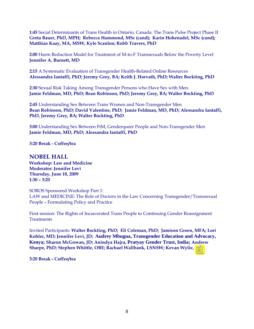**1:45** Social Determinants of Trans Health in Ontario, Canada: The Trans Pulse Project Phase II **Greta Bauer, PhD, MPH; Rebecca Hammond, MSc (cand); Karin Hohenadel, MSc (cand); Matthias Kaay, MA, MSW, Kyle Scanlon; Robb Travers, PhD** 

**2:00** Harm Reduction Model for Treatment of M-to-F Transsexuals Below the Poverty Level **Jennifer A. Burnett, MD** 

**2:15** A Systematic Evaluation of Transgender Health-Related Online Resources **Alessandra Iantaffi, PhD; Jeremy Grey, BA; Keith J. Horvath, PhD; Walter Bockting, PhD** 

**2:30** Sexual Risk Taking Among Transgender Persons who Have Sex with Men. **Jamie Feldman, MD, PhD; Bean Robinson, PhD; Jeremy Grey, BA; Walter Bockting, PhD**

**2:45** Understanding Sex Between Trans Women and Non-Transgender Men **Bean Robinson, PhD; David Valentine, PhD; Jamie Feldman, MD, PhD; Alessandra Iantaffi, PhD, Jeremy Grey, BA; Walter Bockting, PhD** 

**3:00** Understanding Sex Between FtM, Genderqueer People and Non-Transgender Men **Jamie Feldman, MD, PhD; Alessandra Iantaffi, PhD**

**3:20 Break - Coffee/tea** 

**NOBEL HALL Workshop: Law and Medicine Moderator: Jennifer Levi Thursday, June 18, 2009 1:30 – 3:20** 

SOROS Sponsored Workshop Part 1: LAW and MEDICINE: The Role of Doctors in the Law Concerning Transgender/Transsexual People – Formulating Policy and Practice

First session: The Rights of Incarcerated Trans People to Continuing Gender Reassignment **Treatments** 

Invited Participants: **Walter Bockting, PhD; Eli Coleman, PhD; Jamison Green, MFA; Lori Kohler, MD; Jennifer Levi, JD; Audrey Mbugua, Transgender Education and Advocacy, Kenya; Sharon McGowan, JD; Anindya Hajra, Pratyay Gender Trust, India; Andrew Sharpe, PhD; Stephen Whittle, OBE; Rachael Wallbank, LSNSW; Kevan Wylie, MD**

**3:20 Break - Coffee/tea**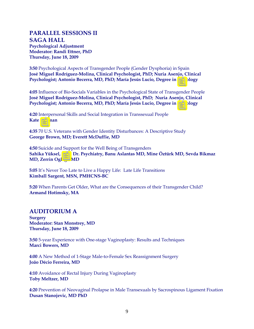## **PARALLEL SESSIONS II SAGA HALL**

**Psychological Adjustment Moderator: Randi Ettner, PhD Thursday, June 18, 2009**

**3:50** Psychological Aspects of Transgender People (Gender Dysphoria) in Spain **José Miguel Rodríguez-Molina, Clinical Psychologist, PhD; Nuria Asenjo, Clinical Psychologist; Antonio Becerra, MD, PhD; María Jesús Lucio, Degree in Sociology**

**4:05** Influence of Bio-Socials Variables in the Psychological State of Transgender People **José Miguel Rodríguez-Molina, Clinical Psychologist, PhD; Nuria Asenjo, Clinical Psychologist; Antonio Becerra, MD, PhD; María Jesús Lucio, Degree in Sociology**

**4:20** Interpersonal Skills and Social Integration in Transsexual People **Kate Norman**

**4:35** 70 U.S. Veterans with Gender Identity Disturbances: A Descriptive Study **George Brown, MD; Everett McDuffie, MD** 

**4:50** Suicide and Support for the Well Being of Transgenders **Sahika Yüksel, Prof. Dr. Psychiatry, Banu Aslantas MD, Mine Öztürk MD, Sevda Bikmaz MD, Zerrin Oglagu MD** 

**5:05** It's Never Too Late to Live a Happy Life: Late Life Transitions **Kimball Sargent, MSN, PMHCNS-BC** 

**5:20** When Parents Get Older, What are the Consequences of their Transgender Child? **Armand Hotimsky, MA** 

## **AUDITORIUM A**

**Surgery Moderator: Stan Monstrey, MD Thursday, June 18, 2009**

**3:50** 5-year Experience with One-stage Vaginoplasty: Results and Techniques **Marci Bowers, MD** 

**4:00** A New Method of 1-Stage Male-to-Female Sex Reassignment Surgery **João Décio Ferreira, MD** 

**4:10** Avoidance of Rectal Injury During Vaginoplasty **Toby Meltzer, MD** 

**4:20** Prevention of Neovaginal Prolapse in Male Transexuals by Sacrospinous Ligament Fixation **Dusan Stanojevic, MD PhD**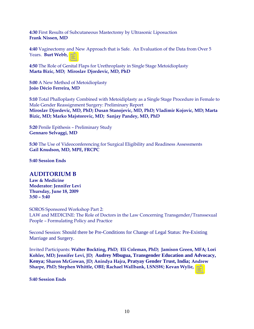**4:30** First Results of Subcutaneous Mastectomy by Ultrasonic Liposuction **Frank Nissen, MD** 

**4:40** Vaginectomy and New Approach that is Safe. An Evaluation of the Data from Over 5 Years. **Burt Webb, MD**

**4:50** The Role of Genital Flaps for Urethroplasty in Single Stage Metoidioplasty **Marta Bizic, MD; Miroslav Djordevic, MD, PhD** 

**5:00** A New Method of Metoidioplasty **João Décio Ferreira, MD**

**5:10** Total Phalloplasty Combined with Metoidiplasty as a Single Stage Procedure in Female to Male Gender Reassignment Surgery: Preliminary Report **Miroslav Djordevic, MD, PhD; Dusan Stanojevic, MD, PhD; Vladimir Kojovic, MD; Marta Bizic, MD; Marko Majstorovic, MD; Sanjay Pandey, MD, PhD** 

**5:20** Penile Epithesis – Preliminary Study **Gennaro Selvaggi, MD**

**5:30** The Use of Videoconferencing for Surgical Eligibility and Readiness Assessments **Gail Knudson, MD, MPE, FRCPC** 

**5:40 Session Ends** 

## **AUDITORIUM B**

**Law & Medicine Moderator: Jennifer Levi Thursday, June 18, 2009 3:50 – 5:40** 

SOROS Sponsored Workshop Part 2: LAW and MEDICINE: The Role of Doctors in the Law Concerning Transgender/Transsexual People – Formulating Policy and Practice

Second Session: Should there be Pre-Conditions for Change of Legal Status: Pre-Existing Marriage and Surgery.

Invited Participants: **Walter Bockting, PhD; Eli Coleman, PhD; Jamison Green, MFA; Lori Kohler, MD; Jennifer Levi, JD; Audrey Mbugua, Transgender Education and Advocacy, Kenya; Sharon McGowan, JD; Anindya Hajra, Pratyay Gender Trust, India; Andrew Sharpe, PhD; Stephen Whittle, OBE; Rachael Wallbank, LSNSW; Kevan Wylie, MD**

**5:40 Session Ends**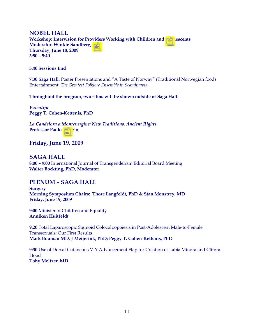## **NOBEL HALL**

**Workshop: Intervision for Providers Working with Children and Adolescents Moderator: Winkie Sandberg, PhD Thursday, June 18, 2009 3:50 – 5:40** 

#### **5:40 Sessions End**

**7:30 Saga Hall**: Poster Presentations and "A Taste of Norway" (Traditional Norwegian food) Entertainment: *The Greatest Folklore Ensemble in Scandinavia*

#### **Throughout the program, two films will be shown outside of Saga Hall:**

*Valentijn*  **Peggy T. Cohen-Kettenis, PhD** 

*La Candelora a Montevergine: New Traditions, Ancient Rights* **Professor Paolo Valerio**

## **Friday, June 19, 2009**

## **SAGA HALL**

**8:00 – 9:00** International Journal of Transgenderism Editorial Board Meeting **Walter Bockting, PhD, Moderator** 

## **PLENUM – SAGA HALL**

**Surgery Morning Symposium Chairs: Thore Langfeldt, PhD & Stan Monstrey, MD Friday, June 19, 2009** 

**9:00** Minister of Children and Equality **Anniken Huitfeldt** 

**9:20** Total Laparoscopic Sigmoid Colocolpopoiesis in Post-Adolescent Male-to-Female Transsexuals: Our First Results **Mark Bouman MD, J Meijerink, PhD; Peggy T. Cohen-Kettenis, PhD** 

**9:30** Use of Dorsal Cutaneous V-Y Advancement Flap for Creation of Labia Minora and Clitoral Hood **Toby Meltzer, MD**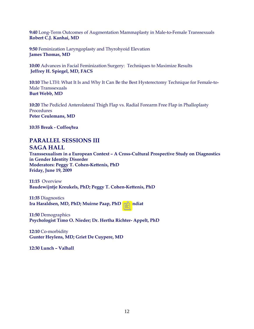**9:40** Long-Term Outcomes of Augmentation Mammaplasty in Male-to-Female Transsexuals **Robert C.J. Kanhai, MD** 

**9:50** Feminization Laryngoplasty and Thyrohyoid Elevation **James Thomas, MD** 

**10:00** Advances in Facial Feminization Surgery: Techniques to Maximize Results **Jeffrey H. Spiegel, MD, FACS** 

**10:10** The LTH: What It Is and Why It Can Be the Best Hysterectomy Technique for Female-to-Male Transsexuals **Burt Webb, MD** 

**10:20** The Pedicled Anterolateral Thigh Flap vs. Radial Forearm Free Flap in Phalloplasty Procedures **Peter Ceulemans, MD** 

**10:35 Break - Coffee/tea** 

## **PARALLEL SESSIONS III SAGA HALL**

**Transsexualism in a European Context – A Cross-Cultural Prospective Study on Diagnostics in Gender Identity Disorder Moderators: Peggy T. Cohen-Kettenis, PhD Friday, June 19, 2009** 

**11:15** Overview **Baudewijntje Kreukels, PhD; Peggy T. Cohen-Kettenis, PhD**

**11:35** Diagnostics **Ira Haraldsen, MD, PhD; Muirne Paap, PhD stipendiat**

**11:50** Demographics **Psychologist Timo O. Nieder; Dr. Hertha Richter- Appelt, PhD**

**12:10** Co-morbidity **Gunter Heylens, MD; Griet De Cuypere, MD**

**12:30 Lunch – Valhall**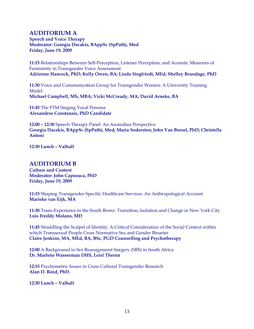## **AUDITORIUM A**

**Speech and Voice Therapy Moderator: Georgia Dacakis, BAppSc (SpPath), Med Friday, June 19, 2009** 

**11:15** Relationships Between Self-Perception, Listener Perception, and Acoustic Measures of Femininity in Transgender Voice Assessment **Adrienne Hancock, PhD; Kelly Owen, BA; Linda Siegfriedt, MEd; Shelley Brundage, PhD** 

**11:30** Voice and Communication Group for Transgender Women: A University Training Model **Michael Campbell, MS, MBA; Vicki McCready, MA; David Arneke, BA** 

**11:45** The FTM Singing Vocal Persona **Alexandros Constansis, PhD Candidate**

**12:00 – 12:30** Speech Therapy Panel: An Australian Perspective **Georgia Dacakis, BAppSc (SpPath), Med; Maria Sodersten; John Van Borsel, PhD; Christella Antoni** 

**12:30 Lunch – Valhall** 

## **AUDITORIUM B**

**Culture and Context Moderator: John Capozuca, PhD Friday, June 19, 2009** 

**11:15** Shaping Transgender-Specific Healthcare Services: An Anthropological Account **Marieke van Eijk, MA** 

**11:30** Trans-Experience in the South Bronx: Transition, Isolation and Change in New York City **Luis Freddy Molano, MD** 

**11:45** Straddling the Scalpel of Identity: A Critical Consideration of the Social Context within which Transsexual People Cross Normative Sex and Gender Binaries **Claire Jenkins, MA, MEd, BA, BSc, PGD Counselling and Psychotherapy** 

**12:00** A Background to Sex Reassignment Surgery (SRS) in South Africa **Dr. Marlene Wasserman DHS, Leisl Theron** 

**12:15** Psychometric Issues in Cross Cultural Transgender Research **Alan D. Reed, PhD.** 

**12:30 Lunch – Valhall**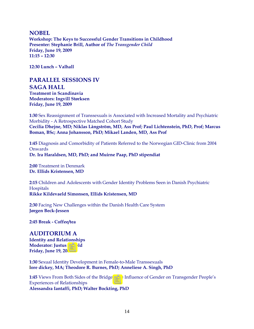#### **NOBEL**

**Workshop: The Keys to Successful Gender Transitions in Childhood Presenter: Stephanie Brill, Author of** *The Transgender Child* **Friday, June 19, 2009 11:15 – 12:30**

**12:30 Lunch – Valhall** 

## **PARALLEL SESSIONS IV SAGA HALL**

**Treatment in Scandinavia Moderators: Ingvill Størksen Friday, June 19, 2009** 

**1:30** Sex Reassignment of Transsexuals is Associated with Increased Mortality and Psychiatric Morbidity - A Retrospective Matched Cohort Study **Cecilia Dhejne, MD; Niklas Långström, MD, Ass Prof; Paul Lichtenstein, PhD, Prof; Marcus Boman, BSc; Anna Johansson, PhD; Mikael Landen, MD, Ass Prof**

**1:45** Diagnosis and Comorbidity of Patients Referred to the Norwegian GID-Clinic from 2004 **Onwards Dr. Ira Haraldsen, MD, PhD; and Muirne Paap, PhD stipendiat** 

**2:00** Treatment in Denmark **Dr. Ellids Kristensen, MD**

**2:15** Children and Adolescents with Gender Identity Problems Seen in Danish Psychiatric Hospitals **Rikke Kildevaeld Simonsen, Ellids Kristensen, MD** 

**2:30** Facing New Challenges within the Danish Health Care System **Jørgen Beck-Jessen** 

**2:45 Break - Coffee/tea** 

## **AUDITORIUM A**

**Identity and Relationships Moderator: Justus Eisfeld Friday, June 19, 2009** 

**1:30** Sexual Identity Development in Female-to-Male Transsexuals **lore dickey, MA; Theodore R. Burnes, PhD; Anneliese A. Singh, PhD**

**1:45** Views From Both Sides of the Bridge? The Influence of Gender on Transgender People's Experiences of Relationships **Alessandra Iantaffi, PhD; Walter Bockting, PhD**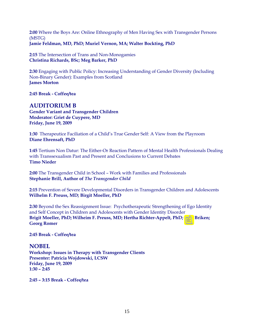**2:00** Where the Boys Are: Online Ethnography of Men Having Sex with Transgender Persons (MSTG) **Jamie Feldman, MD, PhD; Muriel Vernon, MA; Walter Bockting, PhD** 

**2:15** The Intersection of Trans and Non-Monogamies **Christina Richards, BSc; Meg Barker, PhD** 

**2:30** Engaging with Public Policy: Increasing Understanding of Gender Diversity (Including Non-Binary Gender): Examples from Scotland **James Morton** 

**2:45 Break - Coffee/tea** 

## **AUDITORIUM B**

**Gender Variant and Transgender Children Moderator: Griet de Cuypere, MD Friday, June 19, 2009** 

**1:30** Therapeutice Faciliation of a Child's True Gender Self: A View from the Playroom **Diane Ehrensaft, PhD**

**1:45** Tertium Non Datur: The Either-Or Reaction Pattern of Mental Health Professionals Dealing with Transsexualism Past and Present and Conclusions to Current Debates **Timo Nieder** 

**2:00** The Transgender Child in School – Work with Families and Professionals **Stephanie Brill, Author of** *The Transgender Child*

**2:15** Prevention of Severe Developmental Disorders in Transgender Children and Adolescents **Wilhelm F. Preuss, MD; Birgit Moeller, PhD** 

**2:30** Beyond the Sex Reassignment Issue: Psychotherapeutic Strengthening of Ego Identity and Self Concept in Children and Adolescents with Gender Identity Disorder **Brigit Moeller, PhD; Wilheim F. Preuss, MD; Hertha Richter-Appelt, PhD; Peer Briken; Georg Romer** 

**2:45 Break - Coffee/tea** 

## **NOBEL**

**Workshop: Issues in Therapy with Transgender Clients Presenter: Patricia Wojdowski, LCSW Friday, June 19, 2009 1:30 – 2:45** 

**2:45 – 3:15 Break - Coffee/tea**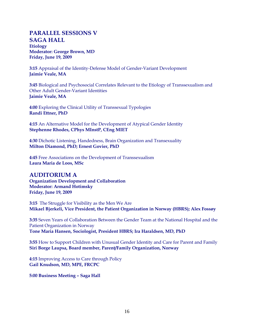## **PARALLEL SESSIONS V SAGA HALL Etiology Moderator: George Brown, MD Friday, June 19, 2009**

**3:15** Appraisal of the Identity-Defense Model of Gender-Variant Development **Jaimie Veale, MA** 

**3:45** Biological and Psychosocial Correlates Relevant to the Etiology of Transsexualism and Other Adult Gender-Variant Identities **Jaimie Veale, MA**

**4:00** Exploring the Clinical Utility of Transsexual Typologies **Randi Ettner, PhD**

**4:15** An Alternative Model for the Development of Atypical Gender Identity **Stephenne Rhodes, CPhys MInstP, CEng MIET**

**4:30** Dichotic Listening, Handedness, Brain Organization and Transexuality **Milton Diamond, PhD; Ernest Govier, PhD** 

**4:45** Free Associations on the Development of Transsexualism **Laura Maria de Loos, MSc** 

## **AUDITORIUM A**

**Organization Development and Collaboration Moderator: Armand Hotimsky Friday, June 19, 2009** 

**3:15** The Struggle for Visibility as the Men We Are **Mikael Bjerkeli, Vice President, the Patient Organization in Norway (HBRS); Alex Fossøy** 

**3:35** Seven Years of Collaboration Between the Gender Team at the National Hospital and the Patient Organization in Norway **Tone Maria Hansen, Sociologist, President HBRS; Ira Haraldsen, MD, PhD** 

**3:55** How to Support Children with Unusual Gender Identity and Care for Parent and Family **Siri Borge Laupsa, Board member, Parent/Family Organization, Norway**

**4:15** Improving Access to Care through Policy **Gail Knudson, MD, MPE, FRCPC** 

**5:00 Business Meeting – Saga Hall**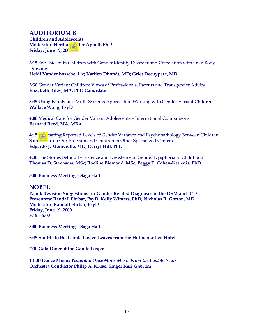## **AUDITORIUM B**

**Children and Adolescents Moderator: Hertha Richter-Appelt, PhD Friday, June 19, 2009** 

**3:15** Self Esteem in Children with Gender Identity Disorder and Correlation with Own Body Drawings **Heidi Vandenbossche, Lic; Karlien Dhondt, MD; Griet Decuypere, MD** 

**3:30** Gender Variant Children: Views of Professionals, Parents and Transgender Adults **Elizabeth Riley, MA, PhD Candidate**

**3:45** Using Family and Multi-Systems Approach in Working with Gender Variant Children **Wallace Wong, PsyD** 

**4:00** Medical Care for Gender Variant Adolescents – International Comparisons **Bernard Reed, MA, MBA** 

**4:15** Comparing Reported Levels of Gender Variance and Psychopathology Between Children Sampled from Our Program and Children in Other Specialized Centers **Edgardo J. Meinvielle, MD; Darryl Hill, PhD** 

**4:30** The Stories Behind Persistence and Desistence of Gender Dysphoria in Childhood **Thomas D. Steensma, MSc; Roeline Biemond, MSc; Peggy T. Cohen-Kettenis, PhD** 

**5:00 Business Meeting – Saga Hall**

## **NOBEL**

**Panel: Revision Suggestions for Gender Related Diagnoses in the DSM and ICD Presenters: Randall Ehrbar, PsyD, Kelly Winters, PhD; Nicholas R. Gorton, MD Moderator: Randall Ehrbar, PsyD Friday, June 19, 2009 3:15 – 5:00** 

**5:00 Business Meeting – Saga Hall**

**6:45 Shuttle to the Gamle Losjen Leaves from the Holmenkollen Hotel** 

**7:30 Gala Diner at the Gamle Losjen**

**11:00 Dance Music:** *Yesterday Once More: Music From the Last 40 Years* **Orchestra Conductor Philip A. Kruse; Singer Kari Gjærum**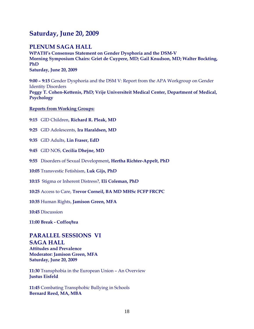## **Saturday, June 20, 2009**

## **PLENUM SAGA HALL**

**WPATH's Consensus Statement on Gender Dysphoria and the DSM-V Morning Symposium Chairs: Griet de Cuypere, MD; Gail Knudson, MD; Walter Bockting, PhD Saturday, June 20, 2009**

**9:00 – 9:15** Gender Dysphoria and the DSM V: Report from the APA Workgroup on Gender Identity Disorders **Peggy T. Cohen-Kettenis, PhD; Vrije Universiteit Medical Center, Department of Medical, Psychology**

**Reports from Working Groups:**

**9:15** GID Children, **Richard R. Pleak, MD**

**9:25** GID Adolescents, **Ira Haraldsen, MD**

**9:35** GID Adults, **Lin Fraser, EdD**

**9:45** GID NOS, **Cecilia Dhejne, MD**

**9:55** Disorders of Sexual Development**, Hertha Richter-Appelt, PhD**

**10:05** Transvestic Fetishism, **Luk Gijs, PhD**

**10:15** Stigma or Inherent Distress?, **Eli Coleman, PhD** 

**10:25** Access to Care, **Trevor Corneil, BA MD MHSc FCFP FRCPC**

**10:35** Human Rights, **Jamison Green, MFA**

**10:45** Discussion

**11:00 Break - Coffee/tea** 

## **PARALLEL SESSIONS VI SAGA HALL**

**Attitudes and Prevalence Moderator: Jamison Green, MFA Saturday, June 20, 2009**

**11:30** Transphobia in the European Union – An Overview **Justus Eisfeld** 

**11:45** Combating Transphobic Bullying in Schools **Bernard Reed, MA, MBA**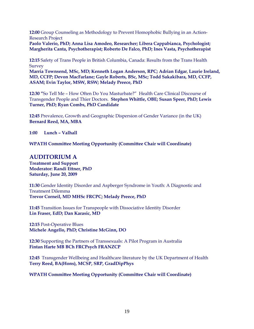**12:00** Group Counseling as Methodology to Prevent Homophobic Bullying in an Action-Research Project

**Paolo Valerio, PhD; Anna Lisa Amodeo, Researcher; Libera Cappabianca, Psychologist; Margherita Canta, Psychotherapist; Roberto De Falco, PhD; Ines Vasta, Psychotherapist**

**12:15** Safety of Trans People in British Columbia, Canada: Results from the Trans Health Survey

**Marria Townsend, MSc, MD; Kenneth Logan Anderson, RPC; Adrian Edgar, Laurie Ireland, MD, CCFP; Devon MacFarlane; Gayle Roberts, BSc, MSc; Todd Sakakibara, MD, CCFP, ASAM; Evin Taylor, MSW, RSW; Melady Preece, PhD** 

**12:30 "**So Tell Me – How Often Do You Masturbate?" Health Care Clinical Discourse of Transgender People and Thier Doctors. **Stephen Whittle, OBE; Susan Speer, PhD; Lewis Turner, PhD; Ryan Combs, PhD Candidate** 

**12:45** Prevalence, Growth and Geographic Dispersion of Gender Variance (in the UK) **Bernard Reed, MA, MBA** 

**1:00 Lunch – Valhall** 

**WPATH Committee Meeting Opportunity (Committee Chair will Coordinate)** 

## **AUDITORIUM A**

**Treatment and Support Moderator: Randi Ettner, PhD Saturday, June 20, 2009**

**11:30** Gender Identity Disorder and Aspberger Syndrome in Youth: A Diagnostic and Treatment Dilemma **Trevor Corneil, MD MHSc FRCPC; Melady Preece, PhD**

**11:45** Transition Issues for Transpeople with Dissociative Identity Disorder **Lin Fraser, EdD; Dan Karasic, MD** 

**12:15** Post-Operative Blues **Michele Angello, PhD; Christine McGinn, DO** 

**12:30** Supporting the Partners of Transsexuals: A Pilot Program in Australia **Fintan Harte MB BCh FRCPsych FRANZCP** 

12:45 Transgender Wellbeing and Healthcare literature by the UK Department of Health **Terry Reed, BA(Hons), MCSP, SRP, GradDipPhys**

**WPATH Committee Meeting Opportunity (Committee Chair will Coordinate)**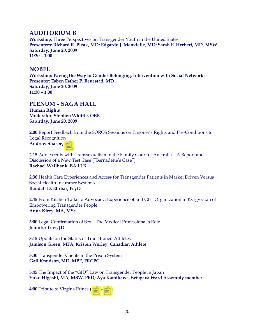## **AUDITORIUM B**

**Workshop:** Three Perspectives on Transgender Youth in the United States **Presenters: Richard R. Pleak, MD; Edgardo J. Menvielle, MD; Sarah E. Herbert, MD, MSW Saturday, June 20, 2009 11:30 – 1:00** 

## **NOBEL**

**Workshop: Paving the Way to Gender Belonging, Intervention with Social Networks Presenter**: **Esben Esther P. Benestad, MD Saturday, June 20, 2009 11:30 – 1:00**

## **PLENUM – SAGA HALL**

**Human Rights Moderator: Stephen Whittle, OBE Saturday, June 20, 2009**

**2:00** Report Feedback from the SOROS Sessions on Prisoner's Rights and Pre-Conditions to Legal Recognition **Andrew Sharpe, PhD**

**2**:**15** Adolescents with Transsexualism in the Family Court of Australia – A Report and Discussion of a New Test Case ("Bernadette's Case") **Rachael Wallbank, BA LLB** 

**2:30** Health Care Experiences and Access for Transgender Patients in Market Driven Versus Social Health Insurance Systems **Randall D. Ehrbar, PsyD** 

**2:45** From Kitchen Talks to Advocacy: Experience of an LGBT Organization in Kyrgyzstan of Empowering Transgender People **Anna Kirey, MA, MSc** 

**3:00** Legal Confirmation of Sex – The Medical Professional's Role **Jennifer Levi, JD** 

**3:15** Update on the Status of Transitioned Athletes **Jamison Green, MFA; Kristen Worley, Canadian Athlete** 

**3:30** Transgender Clients in the Prison System **Gail Knudson, MD, MPE, FRCPC**

**3:45** The Impact of the "GID" Law on Transgender People in Japan **Yuko Higashi, MA, MSW, PhD; Aya Kamikawa, Setagaya Ward Assembly member** 

**4:00** Tribute to Virgina Prince (1912–2009)